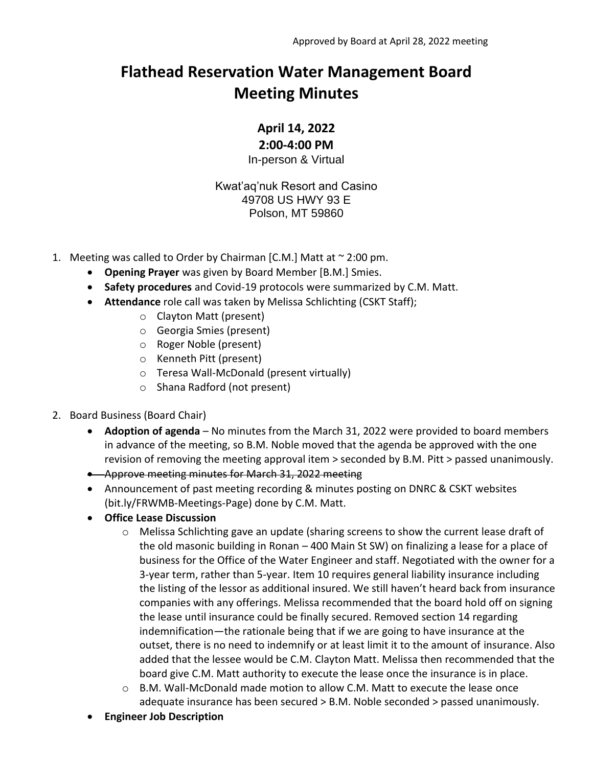## **Flathead Reservation Water Management Board Meeting Minutes**

**April 14, 2022**

## **2:00-4:00 PM**

In-person & Virtual

Kwat'aq'nuk Resort and Casino 49708 US HWY 93 E Polson, MT 59860

- 1. Meeting was called to Order by Chairman [C.M.] Matt at  $\sim$  2:00 pm.
	- **Opening Prayer** was given by Board Member [B.M.] Smies.
	- **Safety procedures** and Covid-19 protocols were summarized by C.M. Matt.
	- **Attendance** role call was taken by Melissa Schlichting (CSKT Staff);
		- o Clayton Matt (present)
		- o Georgia Smies (present)
		- o Roger Noble (present)
		- o Kenneth Pitt (present)
		- o Teresa Wall-McDonald (present virtually)
		- o Shana Radford (not present)
- 2. Board Business (Board Chair)
	- **Adoption of agenda** No minutes from the March 31, 2022 were provided to board members in advance of the meeting, so B.M. Noble moved that the agenda be approved with the one revision of removing the meeting approval item > seconded by B.M. Pitt > passed unanimously.
	- Approve meeting minutes for March 31, 2022 meeting
	- Announcement of past meeting recording & minutes posting on DNRC & CSKT websites (bit.ly/FRWMB-Meetings-Page) done by C.M. Matt.
	- **Office Lease Discussion**
		- o Melissa Schlichting gave an update (sharing screens to show the current lease draft of the old masonic building in Ronan – 400 Main St SW) on finalizing a lease for a place of business for the Office of the Water Engineer and staff. Negotiated with the owner for a 3-year term, rather than 5-year. Item 10 requires general liability insurance including the listing of the lessor as additional insured. We still haven't heard back from insurance companies with any offerings. Melissa recommended that the board hold off on signing the lease until insurance could be finally secured. Removed section 14 regarding indemnification—the rationale being that if we are going to have insurance at the outset, there is no need to indemnify or at least limit it to the amount of insurance. Also added that the lessee would be C.M. Clayton Matt. Melissa then recommended that the board give C.M. Matt authority to execute the lease once the insurance is in place.
		- $\circ$  B.M. Wall-McDonald made motion to allow C.M. Matt to execute the lease once adequate insurance has been secured > B.M. Noble seconded > passed unanimously.
	- **Engineer Job Description**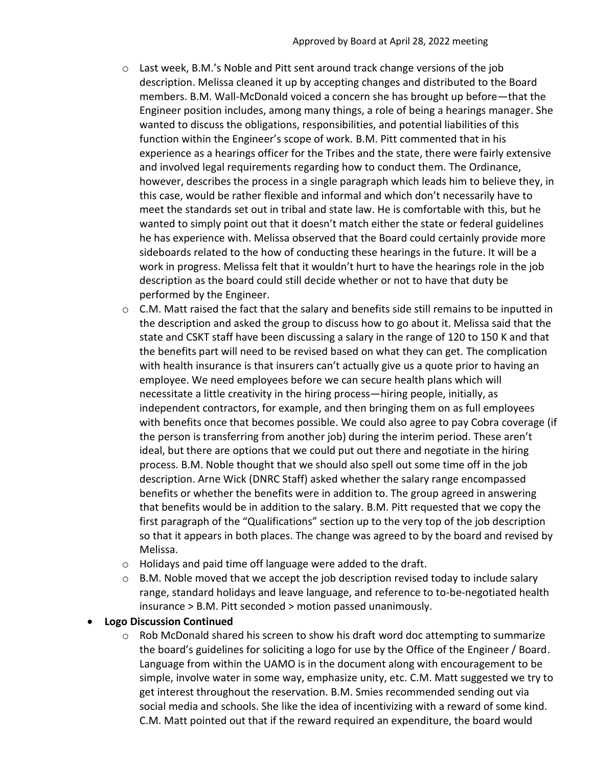- $\circ$  Last week, B.M.'s Noble and Pitt sent around track change versions of the job description. Melissa cleaned it up by accepting changes and distributed to the Board members. B.M. Wall-McDonald voiced a concern she has brought up before—that the Engineer position includes, among many things, a role of being a hearings manager. She wanted to discuss the obligations, responsibilities, and potential liabilities of this function within the Engineer's scope of work. B.M. Pitt commented that in his experience as a hearings officer for the Tribes and the state, there were fairly extensive and involved legal requirements regarding how to conduct them. The Ordinance, however, describes the process in a single paragraph which leads him to believe they, in this case, would be rather flexible and informal and which don't necessarily have to meet the standards set out in tribal and state law. He is comfortable with this, but he wanted to simply point out that it doesn't match either the state or federal guidelines he has experience with. Melissa observed that the Board could certainly provide more sideboards related to the how of conducting these hearings in the future. It will be a work in progress. Melissa felt that it wouldn't hurt to have the hearings role in the job description as the board could still decide whether or not to have that duty be performed by the Engineer.
- $\circ$  C.M. Matt raised the fact that the salary and benefits side still remains to be inputted in the description and asked the group to discuss how to go about it. Melissa said that the state and CSKT staff have been discussing a salary in the range of 120 to 150 K and that the benefits part will need to be revised based on what they can get. The complication with health insurance is that insurers can't actually give us a quote prior to having an employee. We need employees before we can secure health plans which will necessitate a little creativity in the hiring process—hiring people, initially, as independent contractors, for example, and then bringing them on as full employees with benefits once that becomes possible. We could also agree to pay Cobra coverage (if the person is transferring from another job) during the interim period. These aren't ideal, but there are options that we could put out there and negotiate in the hiring process. B.M. Noble thought that we should also spell out some time off in the job description. Arne Wick (DNRC Staff) asked whether the salary range encompassed benefits or whether the benefits were in addition to. The group agreed in answering that benefits would be in addition to the salary. B.M. Pitt requested that we copy the first paragraph of the "Qualifications" section up to the very top of the job description so that it appears in both places. The change was agreed to by the board and revised by Melissa.
- o Holidays and paid time off language were added to the draft.
- $\circ$  B.M. Noble moved that we accept the job description revised today to include salary range, standard holidays and leave language, and reference to to-be-negotiated health insurance > B.M. Pitt seconded > motion passed unanimously.

## • **Logo Discussion Continued**

 $\circ$  Rob McDonald shared his screen to show his draft word doc attempting to summarize the board's guidelines for soliciting a logo for use by the Office of the Engineer / Board. Language from within the UAMO is in the document along with encouragement to be simple, involve water in some way, emphasize unity, etc. C.M. Matt suggested we try to get interest throughout the reservation. B.M. Smies recommended sending out via social media and schools. She like the idea of incentivizing with a reward of some kind. C.M. Matt pointed out that if the reward required an expenditure, the board would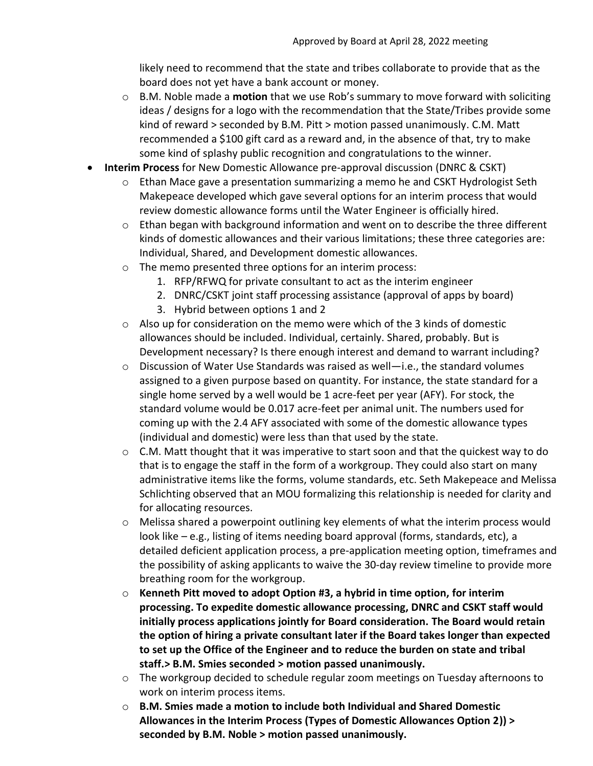likely need to recommend that the state and tribes collaborate to provide that as the board does not yet have a bank account or money.

- o B.M. Noble made a **motion** that we use Rob's summary to move forward with soliciting ideas / designs for a logo with the recommendation that the State/Tribes provide some kind of reward > seconded by B.M. Pitt > motion passed unanimously. C.M. Matt recommended a \$100 gift card as a reward and, in the absence of that, try to make some kind of splashy public recognition and congratulations to the winner.
- **Interim Process** for New Domestic Allowance pre-approval discussion (DNRC & CSKT)
	- $\circ$  Ethan Mace gave a presentation summarizing a memo he and CSKT Hydrologist Seth Makepeace developed which gave several options for an interim process that would review domestic allowance forms until the Water Engineer is officially hired.
	- $\circ$  Ethan began with background information and went on to describe the three different kinds of domestic allowances and their various limitations; these three categories are: Individual, Shared, and Development domestic allowances.
	- o The memo presented three options for an interim process:
		- 1. RFP/RFWQ for private consultant to act as the interim engineer
		- 2. DNRC/CSKT joint staff processing assistance (approval of apps by board)
		- 3. Hybrid between options 1 and 2
	- $\circ$  Also up for consideration on the memo were which of the 3 kinds of domestic allowances should be included. Individual, certainly. Shared, probably. But is Development necessary? Is there enough interest and demand to warrant including?
	- o Discussion of Water Use Standards was raised as well—i.e., the standard volumes assigned to a given purpose based on quantity. For instance, the state standard for a single home served by a well would be 1 acre-feet per year (AFY). For stock, the standard volume would be 0.017 acre-feet per animal unit. The numbers used for coming up with the 2.4 AFY associated with some of the domestic allowance types (individual and domestic) were less than that used by the state.
	- o C.M. Matt thought that it was imperative to start soon and that the quickest way to do that is to engage the staff in the form of a workgroup. They could also start on many administrative items like the forms, volume standards, etc. Seth Makepeace and Melissa Schlichting observed that an MOU formalizing this relationship is needed for clarity and for allocating resources.
	- $\circ$  Melissa shared a powerpoint outlining key elements of what the interim process would look like – e.g., listing of items needing board approval (forms, standards, etc), a detailed deficient application process, a pre-application meeting option, timeframes and the possibility of asking applicants to waive the 30-day review timeline to provide more breathing room for the workgroup.
	- o **Kenneth Pitt moved to adopt Option #3, a hybrid in time option, for interim processing. To expedite domestic allowance processing, DNRC and CSKT staff would initially process applications jointly for Board consideration. The Board would retain the option of hiring a private consultant later if the Board takes longer than expected to set up the Office of the Engineer and to reduce the burden on state and tribal staff.> B.M. Smies seconded > motion passed unanimously.**
	- $\circ$  The workgroup decided to schedule regular zoom meetings on Tuesday afternoons to work on interim process items.
	- o **B.M. Smies made a motion to include both Individual and Shared Domestic Allowances in the Interim Process (Types of Domestic Allowances Option 2)) > seconded by B.M. Noble > motion passed unanimously.**